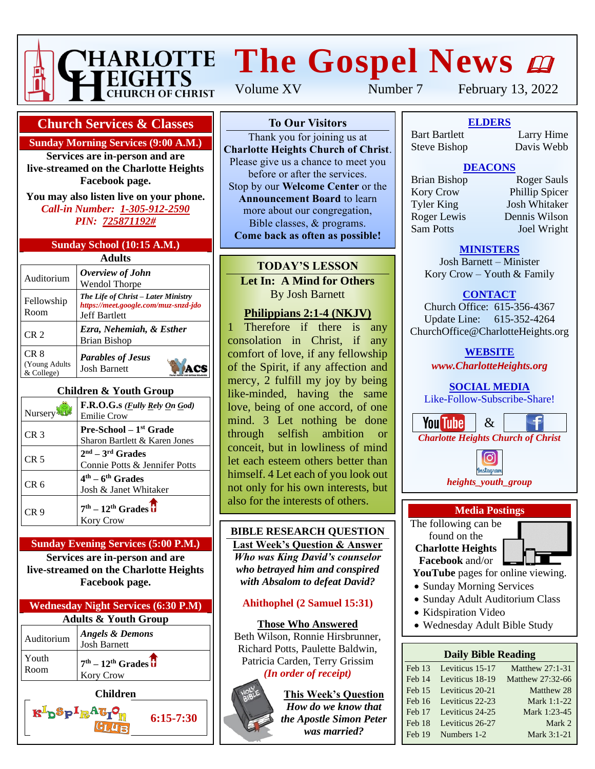

# **HARLOTTE The Gospel News @**

Volume XV Number 7 February 13, 2022

## **Church Services & Classes**

**Sunday Morning Services (9:00 A.M.)**

**Services are in-person and are live-streamed on the Charlotte Heights Facebook page.**

**You may also listen live on your phone.** *Call-in Number: 1-305-912-2590 PIN: 725871192#*

#### **Sunday School (10:15 A.M.)**

| Adults                               |                                                                                                     |  |  |  |  |
|--------------------------------------|-----------------------------------------------------------------------------------------------------|--|--|--|--|
| Auditorium                           | Overview of John<br>Wendol Thorpe                                                                   |  |  |  |  |
| Fellowship<br>Room                   | The Life of Christ - Later Ministry<br>https://meet.google.com/muz-snzd-jdo<br><b>Jeff Bartlett</b> |  |  |  |  |
| CR <sub>2</sub>                      | Ezra, Nehemiah, & Esther<br><b>Brian Bishop</b>                                                     |  |  |  |  |
| CR 8<br>(Young Adults)<br>& College) | <b>Parables of Jesus</b><br><b>Josh Barnett</b>                                                     |  |  |  |  |

## **Children & Youth Group**

| Nursery         | F.R.O.G.s ( <i>Fully Rely On God</i> )<br><b>Emilie Crow</b>    |
|-----------------|-----------------------------------------------------------------|
| CR <sub>3</sub> | <b>Pre-School</b> $-1st$ Grade<br>Sharon Bartlett & Karen Jones |
| CR <sub>5</sub> | $2nd - 3rd$ Grades<br>Connie Potts & Jennifer Potts             |
| CR 6            | $4th - 6th$ Grades<br>Josh & Janet Whitaker                     |
| CR 9            | $7th - 12th$ Grades $\overline{u}$<br><b>Kory Crow</b>          |

#### **Sunday Evening Services (5:00 P.M.) Services are in-person and are**

**live-streamed on the Charlotte Heights Facebook page.**

| <b>Wednesday Night Services (6:30 P.M)</b> |                                                                 |  |  |  |
|--------------------------------------------|-----------------------------------------------------------------|--|--|--|
| <b>Adults &amp; Youth Group</b>            |                                                                 |  |  |  |
| Auditorium                                 | <b>Angels &amp; Demons</b><br><b>Josh Barnett</b>               |  |  |  |
| Youth<br>Room                              | $7th - 12th$ Grades $\overline{\textbf{d}}$<br><b>Kory Crow</b> |  |  |  |

**Children**

**K**<sup>I</sup>p<sup>S</sup>P<sup>I</sup>R<sup>A</sup>G

**6:15-7:30**

## **To Our Visitors**

Thank you for joining us at **Charlotte Heights Church of Christ**. Please give us a chance to meet you before or after the services. Stop by our **Welcome Center** or the **Announcement Board** to learn more about our congregation, Bible classes, & programs. **Come back as often as possible!**

**TODAY'S LESSON Let In: A Mind for Others** By Josh Barnett

## **Philippians 2:1-4 (NKJV)**

1 Therefore if there is any consolation in Christ, if any comfort of love, if any fellowship of the Spirit, if any affection and mercy, 2 fulfill my joy by being like-minded, having the same love, being of one accord, of one mind. 3 Let nothing be done through selfish ambition or conceit, but in lowliness of mind let each esteem others better than himself. 4 Let each of you look out not only for his own interests, but also for the interests of others.

## **BIBLE RESEARCH QUESTION**

**Last Week's Question & Answer** *Who was King David's counselor who betrayed him and conspired with Absalom to defeat David?*

## **Ahithophel (2 Samuel 15:31)**

**Those Who Answered** Beth Wilson, Ronnie Hirsbrunner, Richard Potts, Paulette Baldwin, Patricia Carden, Terry Grissim *(In order of receipt)*



**This Week's Question** *How do we know that the Apostle Simon Peter was married?*

**To Our Visitors ELDERS** Steve Bishop Davis Webb Bart Bartlett

Larry Hime<br>Davis Webb

# **DEACONS**

Bible classes, & programs. Sam Potts Joel Wright **Come back as soft with a soft with the set of the set of the set of the set of the set of the set of the set of the set of the set of the set of the set of the set of the set of the set of the set of the set of the set of** 

Brian Bishop Roger Sauls Stop by our **Welcome Center** or the Kory Crow Phillip Spicer **Announcement Board Limity Spectrum**<br>Tyler King Josh Whitaker more about the source when<br>Roger Lewis Dennis Wilson

### **MINISTERS**

Josh Barnett – Minister Kory Crow – Youth & Family

## **CONTACT**

Church Office: 615-356-4367 Update Line: 615-352-4264 ChurchOffice@CharlotteHeights.org

> **WEBSITE** *www.CharlotteHeights.org*

### **SOCIAL MEDIA**

Like-Follow-Subscribe-Share!







found on the **Charlotte Heights Facebook** and/or

**YouTube** pages for online viewing.

- Sunday Morning Services
- Sunday Adult Auditorium Class
- Kidspiration Video
- Wednesday Adult Bible Study

### **Daily Bible Reading**

|        | Feb 13 Leviticus 15-17 | Matthew 27:1-31  |
|--------|------------------------|------------------|
|        | Feb 14 Leviticus 18-19 | Matthew 27:32-66 |
|        | Feb 15 Leviticus 20-21 | Matthew 28       |
|        | Feb 16 Leviticus 22-23 | Mark 1:1-22      |
|        | Feb 17 Leviticus 24-25 | Mark 1:23-45     |
| Feb 18 | Leviticus 26-27        | Mark 2           |
|        | Feb 19 Numbers 1-2     | Mark 3:1-21      |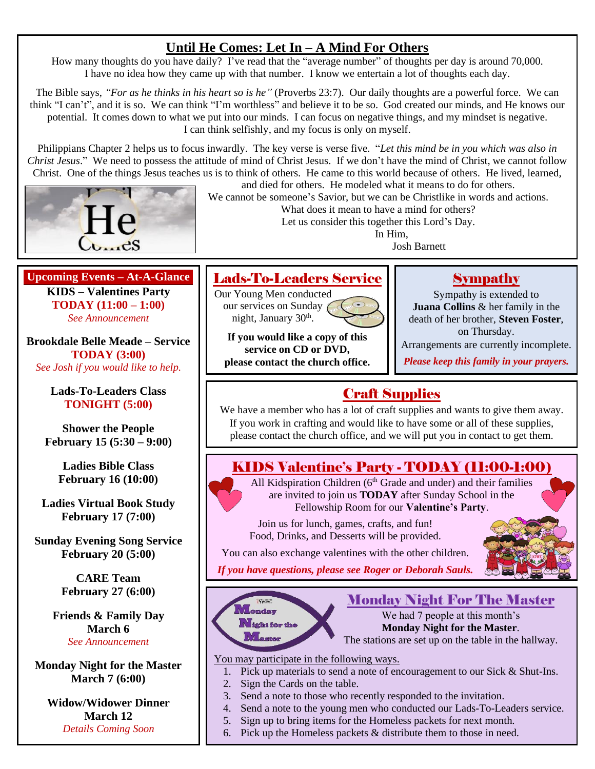# **Until He Comes: Let In – A Mind For Others**

How many thoughts do you have daily? I've read that the "average number" of thoughts per day is around 70,000. I have no idea how they came up with that number. I know we entertain a lot of thoughts each day.

The Bible says, *"For as he thinks in his heart so is he"* (Proverbs 23:7). Our daily thoughts are a powerful force. We can think "I can't", and it is so. We can think "I'm worthless" and believe it to be so. God created our minds, and He knows our potential. It comes down to what we put into our minds. I can focus on negative things, and my mindset is negative. I can think selfishly, and my focus is only on myself.

Philippians Chapter 2 helps us to focus inwardly. The key verse is verse five. "*Let this mind be in you which was also in Christ Jesus*." We need to possess the attitude of mind of Christ Jesus. If we don't have the mind of Christ, we cannot follow Christ. One of the things Jesus teaches us is to think of others. He came to this world because of others. He lived, learned,



and died for others. He modeled what it means to do for others. We cannot be someone's Savior, but we can be Christlike in words and actions.

What does it mean to have a mind for others?

Let us consider this together this Lord's Day.

In Him,

Josh Barnett

### **Upcoming Events – At-A-Glance KIDS – Valentines Party TODAY (11:00 – 1:00)** *See Announcement*

**Brookdale Belle Meade – Service TODAY (3:00)** *See Josh if you would like to help.*

> **Lads-To-Leaders Class TONIGHT (5:00)**

**Shower the People February 15 (5:30 – 9:00)**

> **Ladies Bible Class February 16 (10:00)**

**Ladies Virtual Book Study February 17 (7:00)**

**Sunday Evening Song Service February 20 (5:00)**

> **CARE Team February 27 (6:00)**

**Friends & Family Day March 6** *See Announcement*

**Monday Night for the Master March 7 (6:00)**

**Widow/Widower Dinner March 12** *Details Coming Soon*

# Lads-To-Leaders Service

Our Young Men conducted our services on Sunday night, January 30<sup>th</sup>.



**If you would like a copy of this service on CD or DVD, please contact the church office.**

# **Sympathy**

Sympathy is extended to **Juana Collins** & her family in the death of her brother, **Steven Foster**, on Thursday.

Arrangements are currently incomplete.

*Please keep this family in your prayers.*

# Craft Supplies

We have a member who has a lot of craft supplies and wants to give them away. If you work in crafting and would like to have some or all of these supplies, please contact the church office, and we will put you in contact to get them.

# KIDS Valentine's Party - TODAY (11:00-1:00)

All Kidspiration Children (6<sup>th</sup> Grade and under) and their families are invited to join us **TODAY** after Sunday School in the Fellowship Room for our **Valentine's Party**.

Join us for lunch, games, crafts, and fun! Food, Drinks, and Desserts will be provided.



You can also exchange valentines with the other children. *If you have questions, please see Roger or Deborah Sauls.*



# Monday Night For The Master

We had 7 people at this month's **Monday Night for the Master**. The stations are set up on the table in the hallway.

You may participate in the following ways.

- 1. Pick up materials to send a note of encouragement to our Sick & Shut-Ins.
- 2. Sign the Cards on the table.
- 3. Send a note to those who recently responded to the invitation.
- 4. Send a note to the young men who conducted our Lads-To-Leaders service.
- 5. Sign up to bring items for the Homeless packets for next month.
- 6. Pick up the Homeless packets & distribute them to those in need.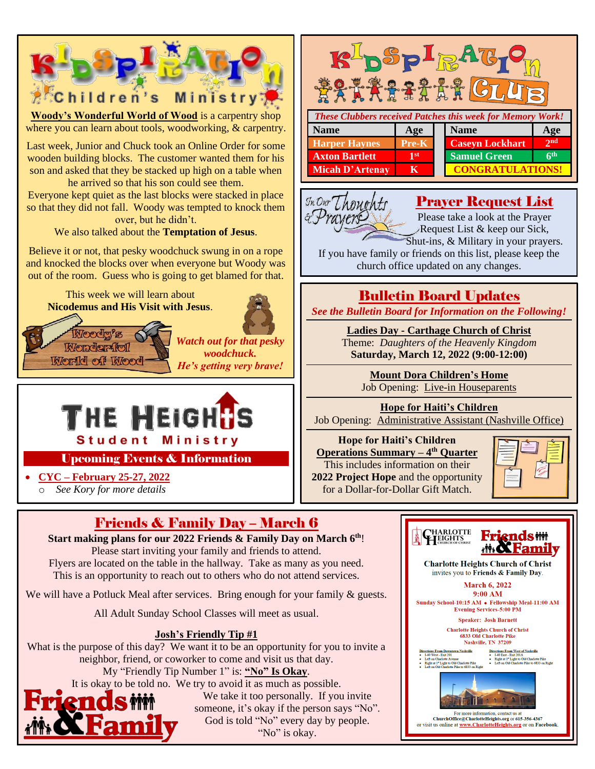

**Josh's Friendly Tip #1**

What is the purpose of this day? We want it to be an opportunity for you to invite a neighbor, friend, or coworker to come and visit us that day.

My "Friendly Tip Number 1" is: **"No" Is Okay**. It is okay to be told no. We try to avoid it as much as possible.

n

m

We take it too personally. If you invite someone, it's okay if the person says "No". God is told "No" every day by people. "No" is okay.

Nashville, TN 37209

For more information, contact us at<br>ChurchOffice@CharlotteHeights.org or 615-356-4367<br>or visit us online at <u>www.CharlotteHeights.org</u> or on Facebook

Directions From West of Nashville<br>• L40 East - Exit 201A ■ E40 E481 - E411 2017<br>■ Right at 1<sup>st</sup> Light to Old Charlotte Pike<br>■ Left on Old Charlotte Pike to 6833 on Right

Directions From Downtown Nashville<br>• I-40 West - Exit 201

● Left on Charlotte Avenue<br>● Right at 1\* Light to Old Charlotte Pike<br>● Left on Old Charlotte Pike to 6833 on Ri